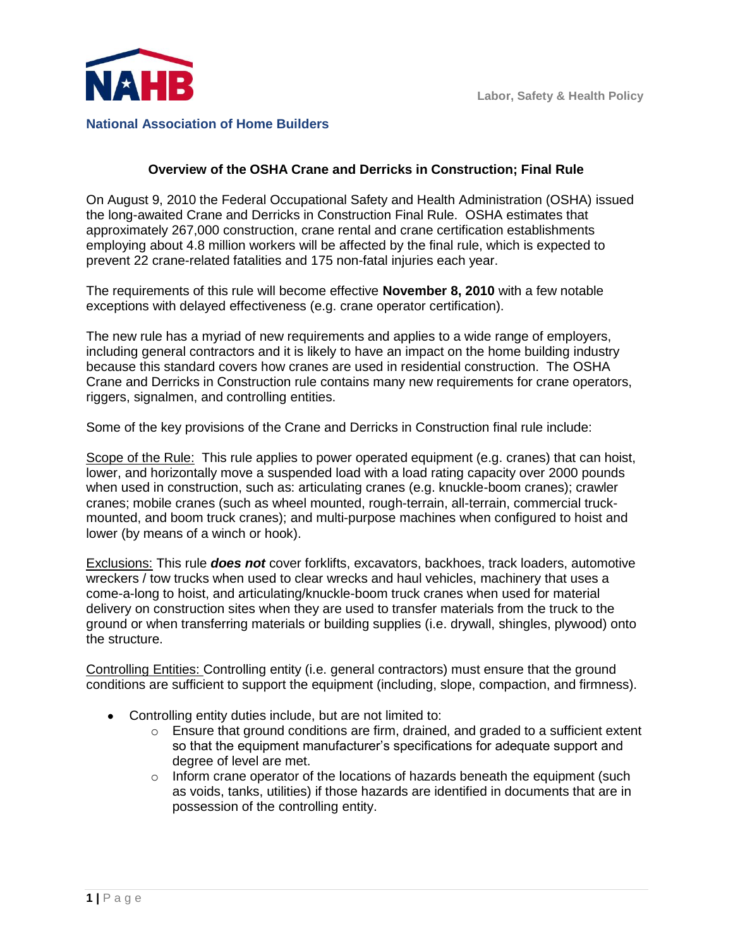



## **National Association of Home Builders**

## **Overview of the OSHA Crane and Derricks in Construction; Final Rule**

On August 9, 2010 the Federal Occupational Safety and Health Administration (OSHA) issued the long-awaited Crane and Derricks in Construction Final Rule. OSHA estimates that approximately 267,000 construction, crane rental and crane certification establishments employing about 4.8 million workers will be affected by the final rule, which is expected to prevent 22 crane-related fatalities and 175 non-fatal injuries each year.

The requirements of this rule will become effective **November 8, 2010** with a few notable exceptions with delayed effectiveness (e.g. crane operator certification).

The new rule has a myriad of new requirements and applies to a wide range of employers, including general contractors and it is likely to have an impact on the home building industry because this standard covers how cranes are used in residential construction. The OSHA Crane and Derricks in Construction rule contains many new requirements for crane operators, riggers, signalmen, and controlling entities.

Some of the key provisions of the Crane and Derricks in Construction final rule include:

Scope of the Rule: This rule applies to power operated equipment (e.g. cranes) that can hoist, lower, and horizontally move a suspended load with a load rating capacity over 2000 pounds when used in construction, such as: articulating cranes (e.g. knuckle-boom cranes); crawler cranes; mobile cranes (such as wheel mounted, rough-terrain, all-terrain, commercial truckmounted, and boom truck cranes); and multi-purpose machines when configured to hoist and lower (by means of a winch or hook).

Exclusions: This rule *does not* cover forklifts, excavators, backhoes, track loaders, automotive wreckers / tow trucks when used to clear wrecks and haul vehicles, machinery that uses a come-a-long to hoist, and articulating/knuckle-boom truck cranes when used for material delivery on construction sites when they are used to transfer materials from the truck to the ground or when transferring materials or building supplies (i.e. drywall, shingles, plywood) onto the structure.

Controlling Entities: Controlling entity (i.e. general contractors) must ensure that the ground conditions are sufficient to support the equipment (including, slope, compaction, and firmness).

- Controlling entity duties include, but are not limited to:
	- o Ensure that ground conditions are firm, drained, and graded to a sufficient extent so that the equipment manufacturer"s specifications for adequate support and degree of level are met.
	- $\circ$  Inform crane operator of the locations of hazards beneath the equipment (such as voids, tanks, utilities) if those hazards are identified in documents that are in possession of the controlling entity.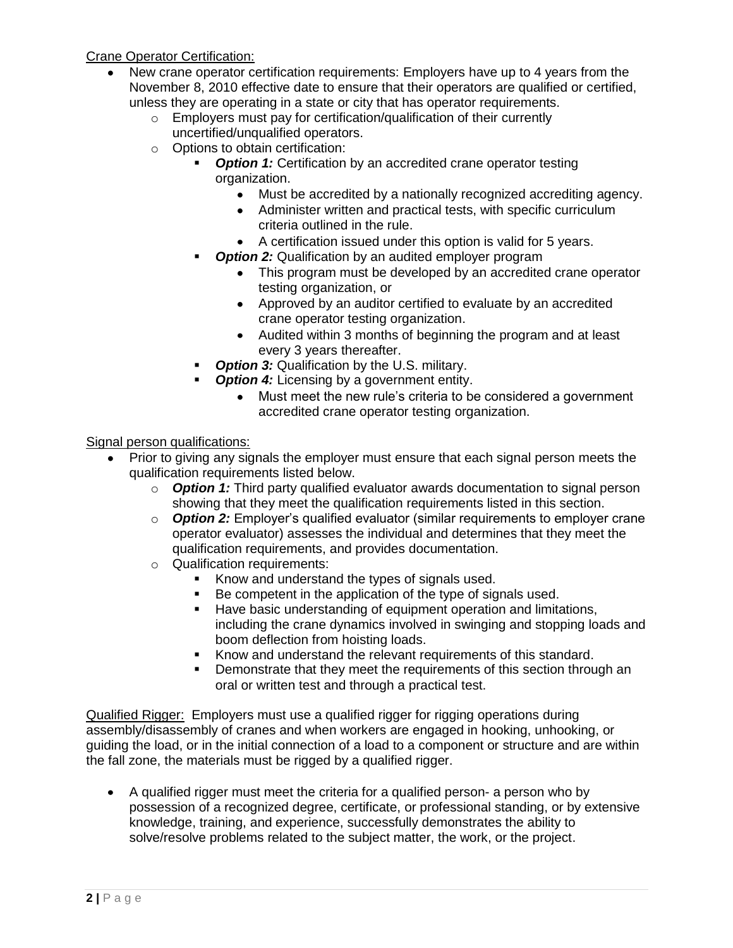Crane Operator Certification:

- New crane operator certification requirements: Employers have up to 4 years from the November 8, 2010 effective date to ensure that their operators are qualified or certified, unless they are operating in a state or city that has operator requirements.
	- o Employers must pay for certification/qualification of their currently uncertified/unqualified operators.
	- o Options to obtain certification:
		- **Option 1:** Certification by an accredited crane operator testing organization.
			- Must be accredited by a nationally recognized accrediting agency.
			- Administer written and practical tests, with specific curriculum criteria outlined in the rule.
			- A certification issued under this option is valid for 5 years.
		- **Option 2:** Qualification by an audited employer program
			- This program must be developed by an accredited crane operator testing organization, or
			- Approved by an auditor certified to evaluate by an accredited crane operator testing organization.
			- Audited within 3 months of beginning the program and at least every 3 years thereafter.
		- **Option 3:** Qualification by the U.S. military.
		- **Option 4:** Licensing by a government entity.
			- Must meet the new rule"s criteria to be considered a government accredited crane operator testing organization.

Signal person qualifications:

- Prior to giving any signals the employer must ensure that each signal person meets the qualification requirements listed below.
	- o *Option 1:* Third party qualified evaluator awards documentation to signal person showing that they meet the qualification requirements listed in this section.
	- o *Option 2:* Employer"s qualified evaluator (similar requirements to employer crane operator evaluator) assesses the individual and determines that they meet the qualification requirements, and provides documentation.
	- o Qualification requirements:
		- Know and understand the types of signals used.
		- Be competent in the application of the type of signals used.
		- **Have basic understanding of equipment operation and limitations,** including the crane dynamics involved in swinging and stopping loads and boom deflection from hoisting loads.
		- Know and understand the relevant requirements of this standard.
		- Demonstrate that they meet the requirements of this section through an oral or written test and through a practical test.

Qualified Rigger: Employers must use a qualified rigger for rigging operations during assembly/disassembly of cranes and when workers are engaged in hooking, unhooking, or guiding the load, or in the initial connection of a load to a component or structure and are within the fall zone, the materials must be rigged by a qualified rigger.

A qualified rigger must meet the criteria for a qualified person- a person who by possession of a recognized degree, certificate, or professional standing, or by extensive knowledge, training, and experience, successfully demonstrates the ability to solve/resolve problems related to the subject matter, the work, or the project.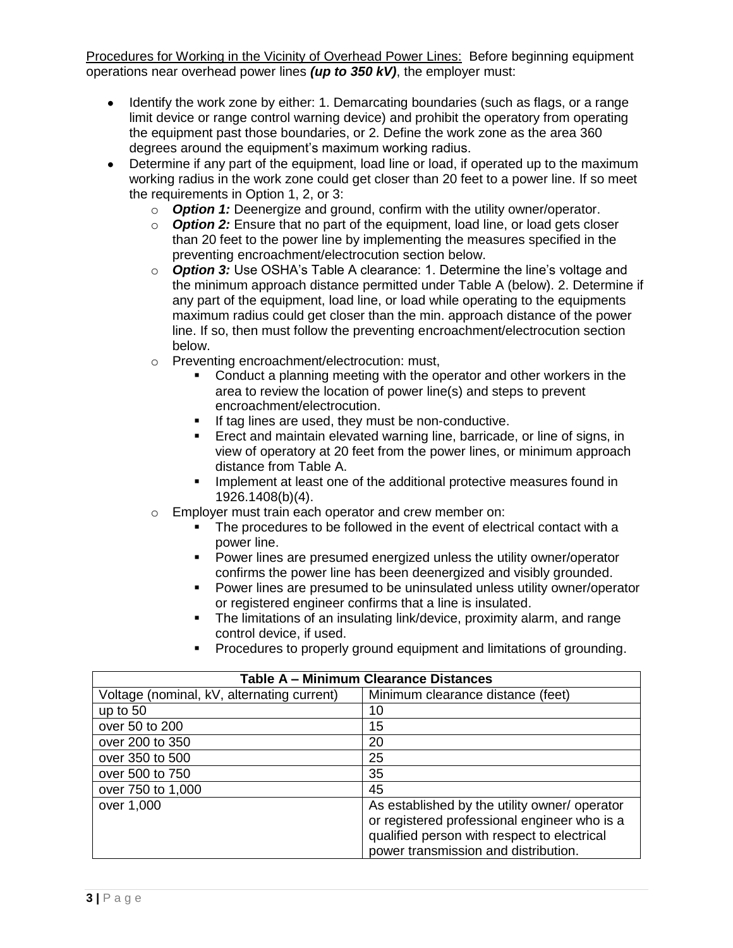Procedures for Working in the Vicinity of Overhead Power Lines: Before beginning equipment operations near overhead power lines *(up to 350 kV)*, the employer must:

- Identify the work zone by either: 1. Demarcating boundaries (such as flags, or a range limit device or range control warning device) and prohibit the operatory from operating the equipment past those boundaries, or 2. Define the work zone as the area 360 degrees around the equipment's maximum working radius.
- Determine if any part of the equipment, load line or load, if operated up to the maximum working radius in the work zone could get closer than 20 feet to a power line. If so meet the requirements in Option 1, 2, or 3:
	- o *Option 1:* Deenergize and ground, confirm with the utility owner/operator.
	- o *Option 2:* Ensure that no part of the equipment, load line, or load gets closer than 20 feet to the power line by implementing the measures specified in the preventing encroachment/electrocution section below.
	- o *Option 3:* Use OSHA"s Table A clearance: 1. Determine the line"s voltage and the minimum approach distance permitted under Table A (below). 2. Determine if any part of the equipment, load line, or load while operating to the equipments maximum radius could get closer than the min. approach distance of the power line. If so, then must follow the preventing encroachment/electrocution section below.
	- o Preventing encroachment/electrocution: must,
		- Conduct a planning meeting with the operator and other workers in the area to review the location of power line(s) and steps to prevent encroachment/electrocution.
		- If tag lines are used, they must be non-conductive.
		- Erect and maintain elevated warning line, barricade, or line of signs, in view of operatory at 20 feet from the power lines, or minimum approach distance from Table A.
		- **IMPLEMENTE 10** Implement at least one of the additional protective measures found in 1926.1408(b)(4).
	- o Employer must train each operator and crew member on:
		- The procedures to be followed in the event of electrical contact with a power line.
		- **Power lines are presumed energized unless the utility owner/operator** confirms the power line has been deenergized and visibly grounded.
		- Power lines are presumed to be uninsulated unless utility owner/operator or registered engineer confirms that a line is insulated.
		- The limitations of an insulating link/device, proximity alarm, and range control device, if used.
		- **Procedures to properly ground equipment and limitations of grounding.**

| <b>Table A - Minimum Clearance Distances</b> |                                              |
|----------------------------------------------|----------------------------------------------|
| Voltage (nominal, kV, alternating current)   | Minimum clearance distance (feet)            |
| up to $50$                                   | 10                                           |
| over 50 to 200                               | 15                                           |
| over 200 to 350                              | 20                                           |
| over 350 to 500                              | 25                                           |
| over 500 to 750                              | 35                                           |
| over 750 to 1,000                            | 45                                           |
| over 1,000                                   | As established by the utility owner/operator |
|                                              | or registered professional engineer who is a |
|                                              | qualified person with respect to electrical  |
|                                              | power transmission and distribution.         |